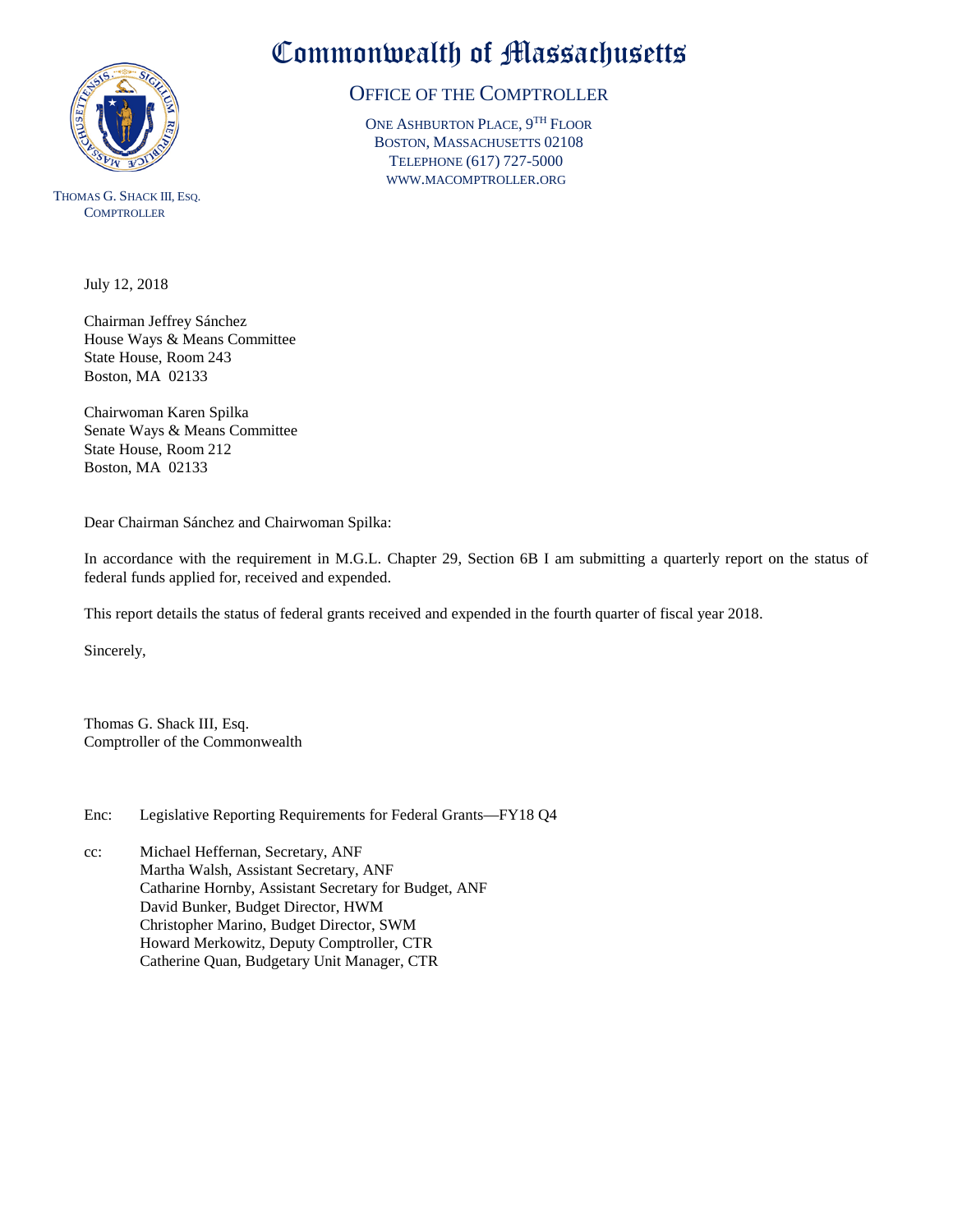

THOMAS G. SHACK III, ESQ. **COMPTROLLER** 

Commonwealth of Massachusetts

## OFFICE OF THE COMPTROLLER

ONE ASHBURTON PLACE, 9TH FLOOR BOSTON, MASSACHUSETTS 02108 TELEPHONE (617) 727-5000 WWW.MACOMPTROLLER.ORG

July 12, 2018

Chairman Jeffrey Sánchez House Ways & Means Committee State House, Room 243 Boston, MA 02133

Chairwoman Karen Spilka Senate Ways & Means Committee State House, Room 212 Boston, MA 02133

Dear Chairman Sánchez and Chairwoman Spilka:

In accordance with the requirement in M.G.L. Chapter 29, Section 6B I am submitting a quarterly report on the status of federal funds applied for, received and expended.

This report details the status of federal grants received and expended in the fourth quarter of fiscal year 2018.

Sincerely,

Thomas G. Shack III, Esq. Comptroller of the Commonwealth

Enc: Legislative Reporting Requirements for Federal Grants—FY18 Q4

cc: Michael Heffernan, Secretary, ANF Martha Walsh, Assistant Secretary, ANF Catharine Hornby, Assistant Secretary for Budget, ANF David Bunker, Budget Director, HWM Christopher Marino, Budget Director, SWM Howard Merkowitz, Deputy Comptroller, CTR Catherine Quan, Budgetary Unit Manager, CTR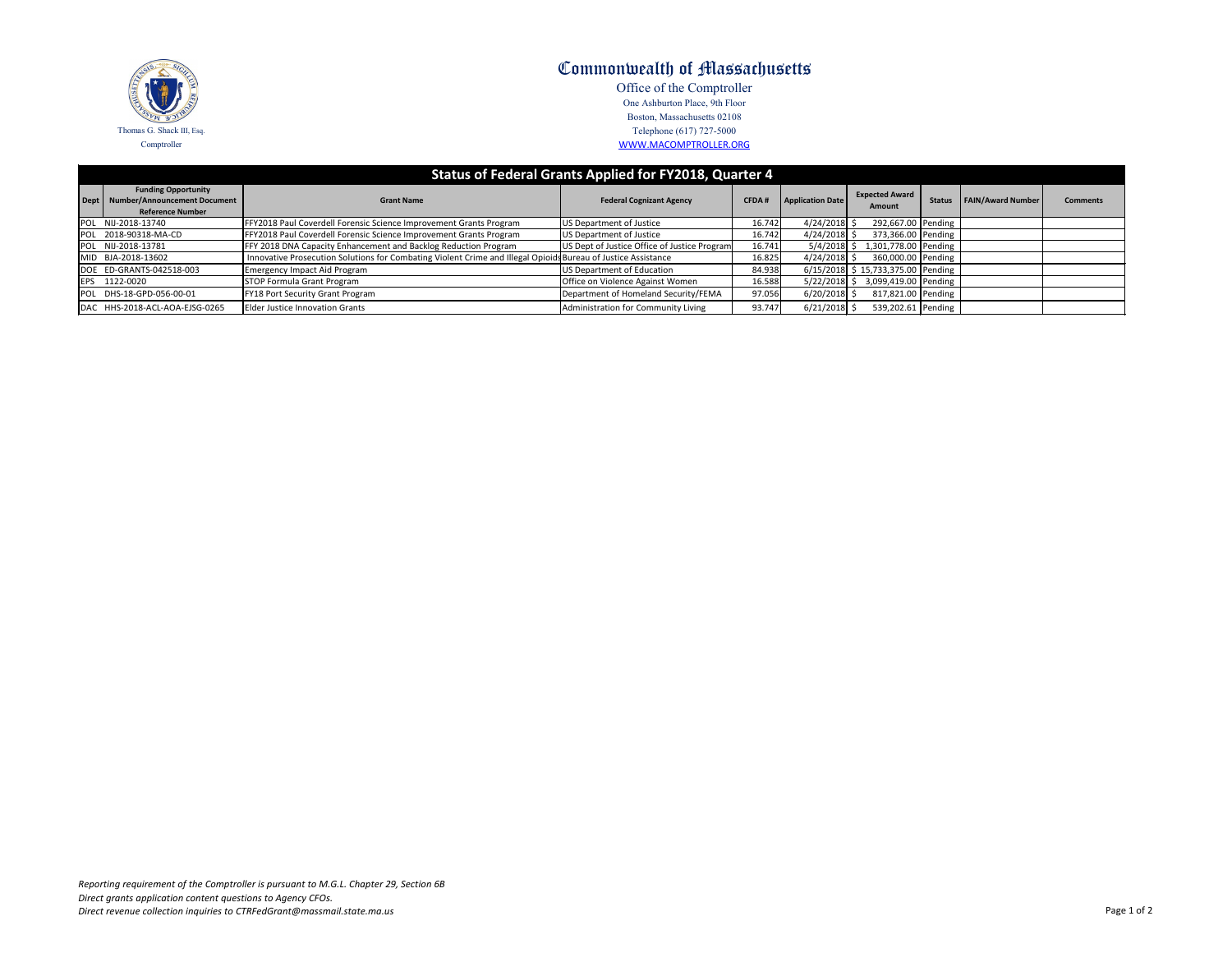| Status of Federal Grants Applied for FY2018, Quarter 4 |                                                                                              |                                                                                                               |                                              |              |                         |                                        |               |                          |                 |  |  |  |  |
|--------------------------------------------------------|----------------------------------------------------------------------------------------------|---------------------------------------------------------------------------------------------------------------|----------------------------------------------|--------------|-------------------------|----------------------------------------|---------------|--------------------------|-----------------|--|--|--|--|
|                                                        | <b>Funding Opportunity</b><br>Dept   Number/Announcement Document<br><b>Reference Number</b> | <b>Grant Name</b>                                                                                             | <b>Federal Cognizant Agency</b>              | <b>CFDA#</b> | <b>Application Date</b> | <b>Expected Award</b><br><b>Amount</b> | <b>Status</b> | <b>FAIN/Award Number</b> | <b>Comments</b> |  |  |  |  |
|                                                        | POL NIJ-2018-13740                                                                           | FFY2018 Paul Coverdell Forensic Science Improvement Grants Program                                            | US Department of Justice                     | 16.742       | $4/24/2018$ \$          | 292,667.00 Pending                     |               |                          |                 |  |  |  |  |
|                                                        | POL 2018-90318-MA-CD                                                                         | FY2018 Paul Coverdell Forensic Science Improvement Grants Program                                             | US Department of Justice                     | 16.742       | $4/24/2018$ \$          | 373,366.00 Pending                     |               |                          |                 |  |  |  |  |
|                                                        | POL NIJ-2018-13781                                                                           | FFY 2018 DNA Capacity Enhancement and Backlog Reduction Program                                               | US Dept of Justice Office of Justice Program | 16.741       | $5/4/2018$ \$           | 1,301,778.00 Pending                   |               |                          |                 |  |  |  |  |
|                                                        | MID BJA-2018-13602                                                                           | Innovative Prosecution Solutions for Combating Violent Crime and Illegal Opioids Bureau of Justice Assistance |                                              | 16.825       | $4/24/2018$ \$          | 360,000.00 Pending                     |               |                          |                 |  |  |  |  |
|                                                        | DOE ED-GRANTS-042518-003                                                                     | Emergency Impact Aid Program                                                                                  | US Department of Education                   | 84.938       |                         | $6/15/2018$ \$ 15,733,375.00 Pending   |               |                          |                 |  |  |  |  |
|                                                        | EPS 1122-0020                                                                                | <b>STOP Formula Grant Program</b>                                                                             | Office on Violence Against Women             | 16.588       |                         | 5/22/2018 \$ 3,099,419.00 Pending      |               |                          |                 |  |  |  |  |
|                                                        | POL DHS-18-GPD-056-00-01                                                                     | FY18 Port Security Grant Program                                                                              | Department of Homeland Security/FEMA         | 97.056       | $6/20/2018$ \$          | 817,821.00 Pending                     |               |                          |                 |  |  |  |  |
|                                                        | DAC HHS-2018-ACL-AOA-EJSG-0265                                                               | <b>Elder Justice Innovation Grants</b>                                                                        | Administration for Community Living          | 93.747       | $6/21/2018$ \$          | 539,202.61 Pending                     |               |                          |                 |  |  |  |  |



## Commonwealth of Massachusetts

Office of the Comptroller One Ashburton Place, 9th Floor Boston, Massachusetts 02108 Telephone (617) 727-5000 WWW.MACOMPTROLLER.ORG